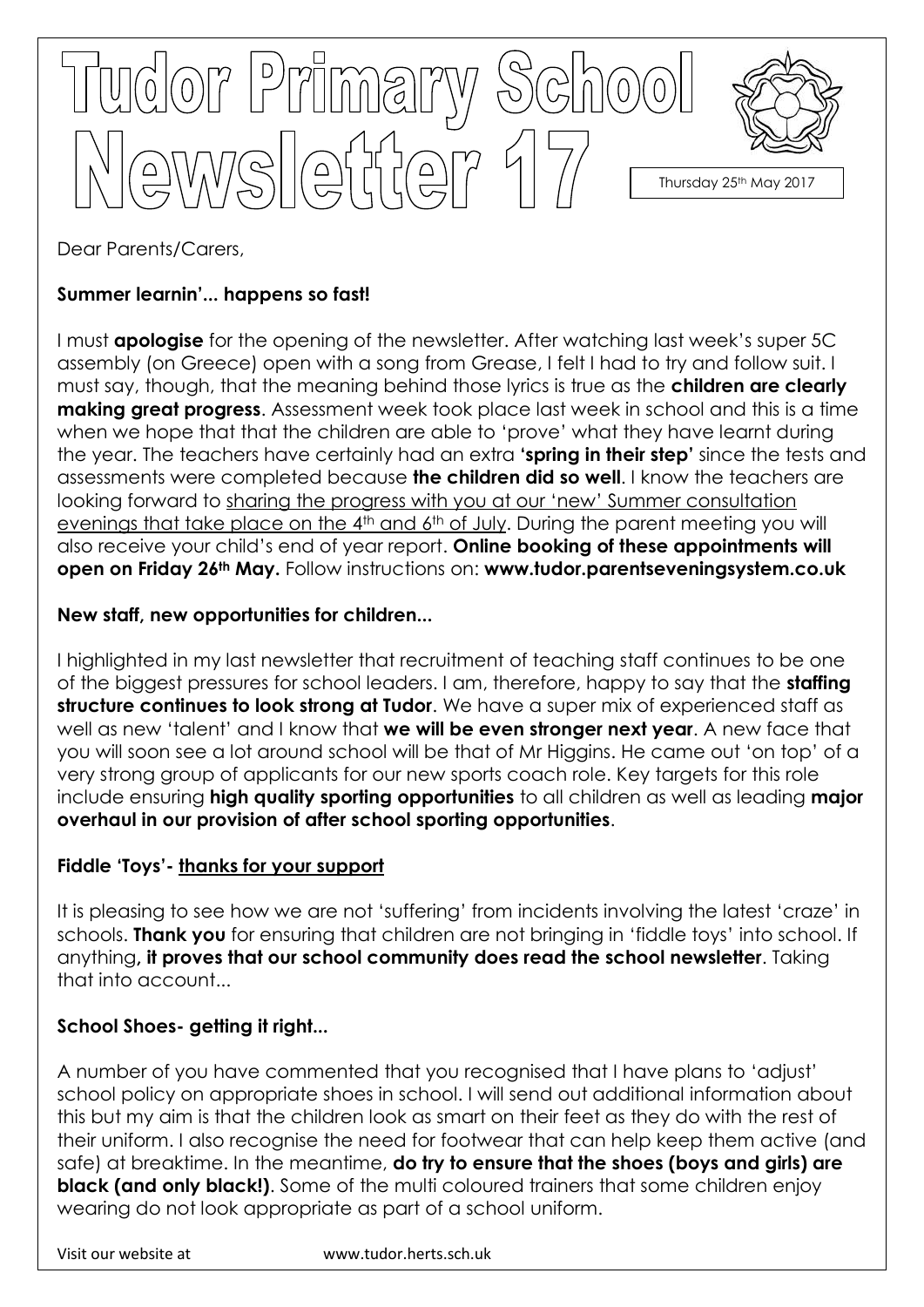

Dear Parents/Carers,

# **Summer learnin'... happens so fast!**

I must **apologise** for the opening of the newsletter. After watching last week's super 5C assembly (on Greece) open with a song from Grease, I felt I had to try and follow suit. I must say, though, that the meaning behind those lyrics is true as the **children are clearly making great progress**. Assessment week took place last week in school and this is a time when we hope that that the children are able to 'prove' what they have learnt during the year. The teachers have certainly had an extra **'spring in their step'** since the tests and assessments were completed because **the children did so well**. I know the teachers are looking forward to sharing the progress with you at our 'new' Summer consultation evenings that take place on the 4<sup>th</sup> and 6<sup>th</sup> of July. During the parent meeting you will also receive your child's end of year report. **Online booking of these appointments will open on Friday 26th May.** Follow instructions on: **www.tudor.parentseveningsystem.co.uk**

# **New staff, new opportunities for children...**

I highlighted in my last newsletter that recruitment of teaching staff continues to be one of the biggest pressures for school leaders. I am, therefore, happy to say that the **staffing structure continues to look strong at Tudor**. We have a super mix of experienced staff as well as new 'talent' and I know that **we will be even stronger next year**. A new face that you will soon see a lot around school will be that of Mr Higgins. He came out 'on top' of a very strong group of applicants for our new sports coach role. Key targets for this role include ensuring **high quality sporting opportunities** to all children as well as leading **major overhaul in our provision of after school sporting opportunities**.

### **Fiddle 'Toys'- thanks for your support**

It is pleasing to see how we are not 'suffering' from incidents involving the latest 'craze' in schools. **Thank you** for ensuring that children are not bringing in 'fiddle toys' into school. If anything**, it proves that our school community does read the school newsletter**. Taking that into account...

# **School Shoes- getting it right...**

A number of you have commented that you recognised that I have plans to 'adjust' school policy on appropriate shoes in school. I will send out additional information about this but my aim is that the children look as smart on their feet as they do with the rest of their uniform. I also recognise the need for footwear that can help keep them active (and safe) at breaktime. In the meantime, **do try to ensure that the shoes (boys and girls) are black (and only black!)**. Some of the multi coloured trainers that some children enjoy wearing do not look appropriate as part of a school uniform.

Visit our website at www.tudor.herts.sch.uk